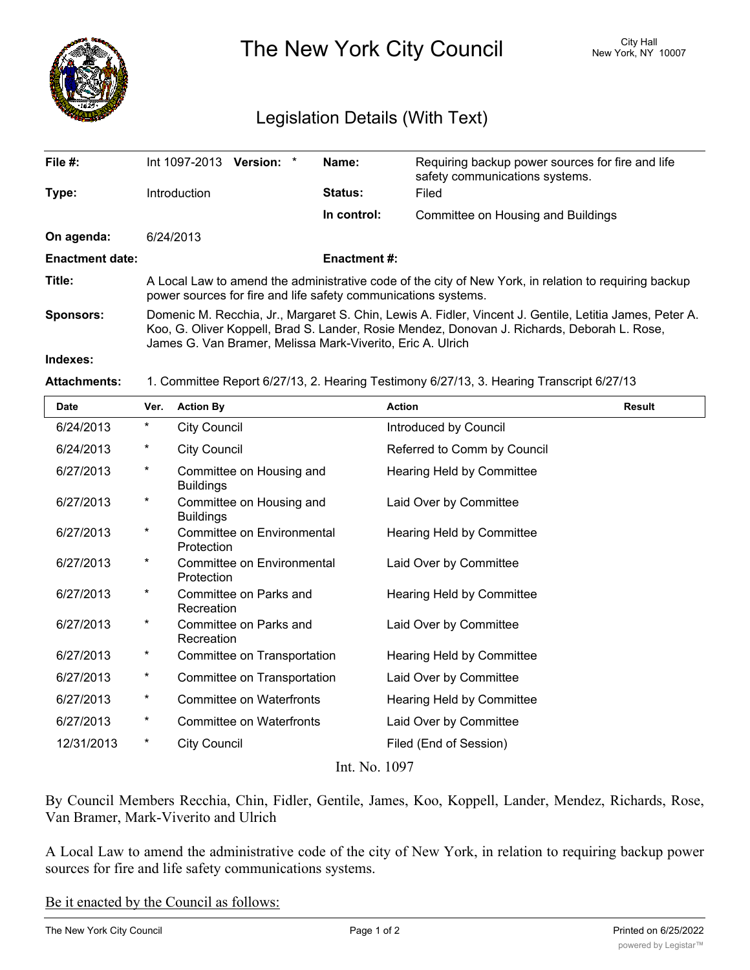

The New York City Council New York, NY 10007

## Legislation Details (With Text)

| File $#$ :             | Int 1097-2013 <b>Version:</b> *                                                                                                                                                                                                                                      |  | Name:          | Requiring backup power sources for fire and life<br>safety communications systems. |  |  |
|------------------------|----------------------------------------------------------------------------------------------------------------------------------------------------------------------------------------------------------------------------------------------------------------------|--|----------------|------------------------------------------------------------------------------------|--|--|
| Type:                  | <b>Introduction</b>                                                                                                                                                                                                                                                  |  | <b>Status:</b> | Filed                                                                              |  |  |
|                        |                                                                                                                                                                                                                                                                      |  | In control:    | Committee on Housing and Buildings                                                 |  |  |
| On agenda:             | 6/24/2013                                                                                                                                                                                                                                                            |  |                |                                                                                    |  |  |
| <b>Enactment date:</b> | <b>Enactment #:</b>                                                                                                                                                                                                                                                  |  |                |                                                                                    |  |  |
| Title:                 | A Local Law to amend the administrative code of the city of New York, in relation to requiring backup<br>power sources for fire and life safety communications systems.                                                                                              |  |                |                                                                                    |  |  |
| Sponsors:              | Domenic M. Recchia, Jr., Margaret S. Chin, Lewis A. Fidler, Vincent J. Gentile, Letitia James, Peter A.<br>Koo, G. Oliver Koppell, Brad S. Lander, Rosie Mendez, Donovan J. Richards, Deborah L. Rose,<br>James G. Van Bramer, Melissa Mark-Viverito, Eric A. Ulrich |  |                |                                                                                    |  |  |
| والمتموع والمتمار      |                                                                                                                                                                                                                                                                      |  |                |                                                                                    |  |  |

## **Indexes:**

**Attachments:** 1. Committee Report 6/27/13, 2. Hearing Testimony 6/27/13, 3. Hearing Transcript 6/27/13

| <b>Date</b>   | Ver.     | <b>Action By</b>                             | <b>Action</b>               | <b>Result</b> |  |  |  |
|---------------|----------|----------------------------------------------|-----------------------------|---------------|--|--|--|
| 6/24/2013     | $^\star$ | <b>City Council</b>                          | Introduced by Council       |               |  |  |  |
| 6/24/2013     | $^\star$ | <b>City Council</b>                          | Referred to Comm by Council |               |  |  |  |
| 6/27/2013     | $^\star$ | Committee on Housing and<br><b>Buildings</b> | Hearing Held by Committee   |               |  |  |  |
| 6/27/2013     | $^\star$ | Committee on Housing and<br><b>Buildings</b> | Laid Over by Committee      |               |  |  |  |
| 6/27/2013     | $^\star$ | Committee on Environmental<br>Protection     | Hearing Held by Committee   |               |  |  |  |
| 6/27/2013     | $^\star$ | Committee on Environmental<br>Protection     | Laid Over by Committee      |               |  |  |  |
| 6/27/2013     | $^\star$ | Committee on Parks and<br>Recreation         | Hearing Held by Committee   |               |  |  |  |
| 6/27/2013     | $^\star$ | Committee on Parks and<br>Recreation         | Laid Over by Committee      |               |  |  |  |
| 6/27/2013     | $^\star$ | Committee on Transportation                  | Hearing Held by Committee   |               |  |  |  |
| 6/27/2013     | $^\star$ | Committee on Transportation                  | Laid Over by Committee      |               |  |  |  |
| 6/27/2013     | $^\star$ | <b>Committee on Waterfronts</b>              | Hearing Held by Committee   |               |  |  |  |
| 6/27/2013     | $^\star$ | <b>Committee on Waterfronts</b>              | Laid Over by Committee      |               |  |  |  |
| 12/31/2013    | $^\star$ | <b>City Council</b>                          | Filed (End of Session)      |               |  |  |  |
| Int. No. 1097 |          |                                              |                             |               |  |  |  |

By Council Members Recchia, Chin, Fidler, Gentile, James, Koo, Koppell, Lander, Mendez, Richards, Rose, Van Bramer, Mark-Viverito and Ulrich

A Local Law to amend the administrative code of the city of New York, in relation to requiring backup power sources for fire and life safety communications systems.

Be it enacted by the Council as follows: